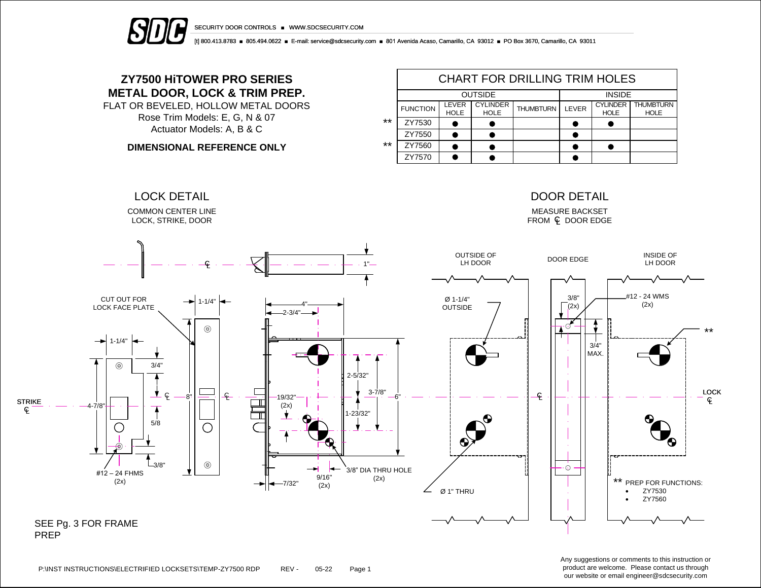



[t] 800.413.8783 ■ 805.494.0622 ■ E-mail: service@sdcsecurity.com ■ 801 Avenida Acaso, Camarillo, CA 93012 ■ PO Box 3670, Camarillo, CA 93011

## **ZY7500 HiTOWER PRO SERIES METAL DOOR, LOCK & TRIM PREP.**

FLAT OR BEVELED, HOLLOW METAL DOORS Rose Trim Models: E, G, N & 07 Actuator Models: A, B & C

**DIMENSIONAL REFERENCE ONLY**

|       | <b>CHART FOR DRILLING TRIM HOLES</b> |                      |                                |                  |       |                                |                                 |  |  |  |  |
|-------|--------------------------------------|----------------------|--------------------------------|------------------|-------|--------------------------------|---------------------------------|--|--|--|--|
|       |                                      | <b>OUTSIDE</b>       | <b>INSIDE</b>                  |                  |       |                                |                                 |  |  |  |  |
|       | <b>FUNCTION</b>                      | LEVER<br><b>HOLE</b> | <b>CYLINDER</b><br><b>HOLE</b> | <b>THUMBTURN</b> | LEVER | <b>CYLINDER</b><br><b>HOLE</b> | <b>THUMBTURN</b><br><b>HOLE</b> |  |  |  |  |
| $***$ | ZY7530                               |                      |                                |                  |       |                                |                                 |  |  |  |  |
|       | ZY7550                               |                      |                                |                  |       |                                |                                 |  |  |  |  |
| $***$ | ZY7560                               |                      |                                |                  |       |                                |                                 |  |  |  |  |
|       | ZY7570                               |                      |                                |                  |       |                                |                                 |  |  |  |  |



Any suggestions or comments to this instruction or product are welcome. Please contact us through our website or email engineer@sdcsecurity.com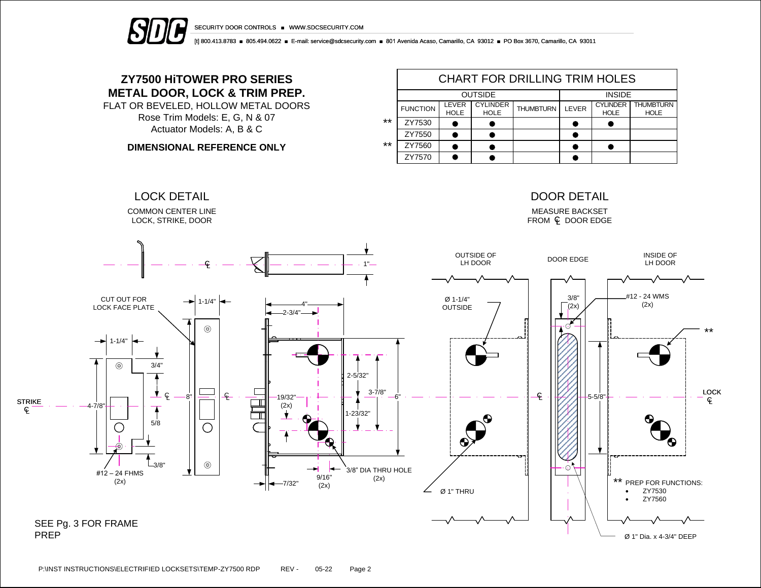



[t] 800.413.8783 ■ 805.494.0622 ■ E-mail: service@sdcsecurity.com ■ 801 Avenida Acaso, Camarillo, CA 93012 ■ PO Box 3670, Camarillo, CA 93011

## **ZY7500 HiTOWER PRO SERIES METAL DOOR, LOCK & TRIM PREP.**

FLAT OR BEVELED, HOLLOW METAL DOORS Rose Trim Models: E, G, N & 07 Actuator Models: A, B & C

**DIMENSIONAL REFERENCE ONLY**

|       | <b>CHART FOR DRILLING TRIM HOLES</b> |                      |                                |                  |       |                                |                                 |  |  |  |  |
|-------|--------------------------------------|----------------------|--------------------------------|------------------|-------|--------------------------------|---------------------------------|--|--|--|--|
|       |                                      | <b>OUTSIDE</b>       | <b>INSIDE</b>                  |                  |       |                                |                                 |  |  |  |  |
|       | <b>FUNCTION</b>                      | LEVER<br><b>HOLE</b> | <b>CYLINDER</b><br><b>HOLE</b> | <b>THUMBTURN</b> | LEVER | <b>CYLINDER</b><br><b>HOLE</b> | <b>THUMBTURN</b><br><b>HOLE</b> |  |  |  |  |
| $***$ | ZY7530                               |                      |                                |                  |       |                                |                                 |  |  |  |  |
|       | ZY7550                               |                      |                                |                  |       |                                |                                 |  |  |  |  |
| $***$ | ZY7560                               |                      |                                |                  |       |                                |                                 |  |  |  |  |
|       | ZY7570                               |                      |                                |                  |       |                                |                                 |  |  |  |  |